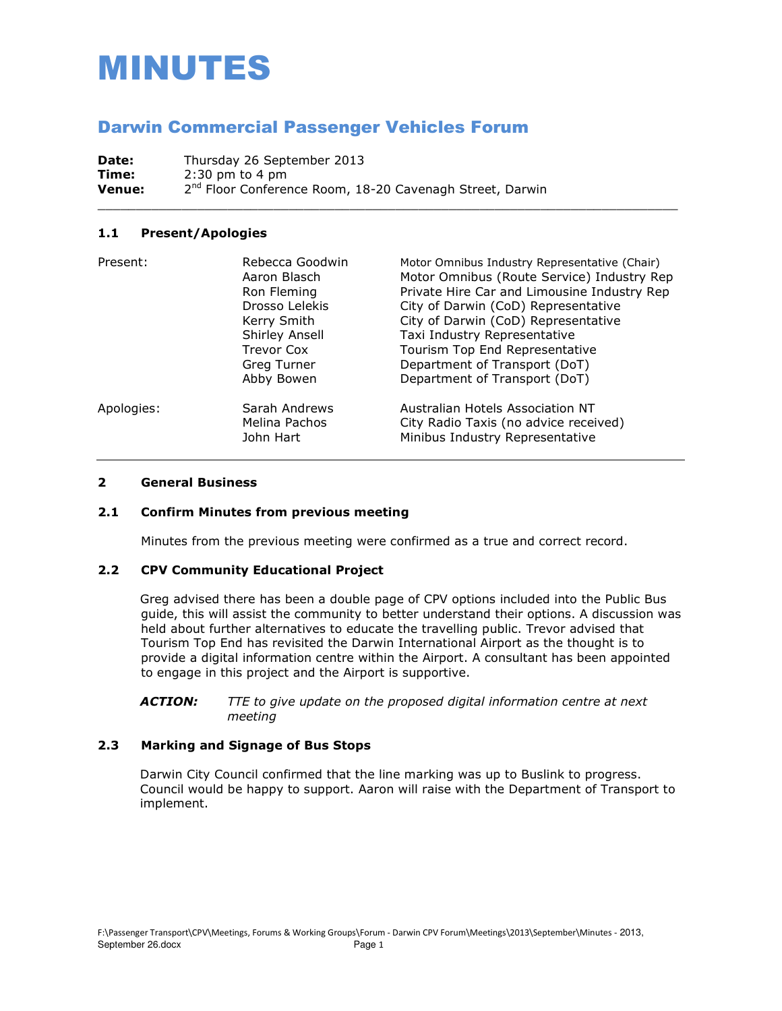# MINUTES

# Darwin Commercial Passenger Vehicles Forum

Date: Thursday 26 September 2013 **Time:** 2:30 pm to 4 pm **Venue:** 2<sup>nd</sup> Floor Conference Room, 18-20 Cavenagh Street, Darwin

# **1.1 Present/Apologies**

| Present:   | Rebecca Goodwin<br>Aaron Blasch<br>Ron Fleming<br>Drosso Lelekis<br>Kerry Smith<br>Shirley Ansell<br>Trevor Cox | Motor Omnibus Industry Representative (Chair)<br>Motor Omnibus (Route Service) Industry Rep<br>Private Hire Car and Limousine Industry Rep<br>City of Darwin (CoD) Representative<br>City of Darwin (CoD) Representative<br>Taxi Industry Representative<br>Tourism Top End Representative |
|------------|-----------------------------------------------------------------------------------------------------------------|--------------------------------------------------------------------------------------------------------------------------------------------------------------------------------------------------------------------------------------------------------------------------------------------|
|            | Greg Turner<br>Abby Bowen                                                                                       | Department of Transport (DoT)<br>Department of Transport (DoT)                                                                                                                                                                                                                             |
| Apologies: | Sarah Andrews<br>Melina Pachos<br>John Hart                                                                     | Australian Hotels Association NT<br>City Radio Taxis (no advice received)<br>Minibus Industry Representative                                                                                                                                                                               |

\_\_\_\_\_\_\_\_\_\_\_\_\_\_\_\_\_\_\_\_\_\_\_\_\_\_\_\_\_\_\_\_\_\_\_\_\_\_\_\_\_\_\_\_\_\_\_\_\_\_\_\_\_\_\_\_\_\_\_\_\_\_\_\_\_\_\_\_\_\_\_\_\_\_\_\_

# **2 General Business**

# **2.1 Confirm Minutes from previous meeting**

Minutes from the previous meeting were confirmed as a true and correct record.

#### **2.2 CPV Community Educational Project**

Greg advised there has been a double page of CPV options included into the Public Bus guide, this will assist the community to better understand their options. A discussion was held about further alternatives to educate the travelling public. Trevor advised that Tourism Top End has revisited the Darwin International Airport as the thought is to provide a digital information centre within the Airport. A consultant has been appointed to engage in this project and the Airport is supportive.

*ACTION: TTE to give update on the proposed digital information centre at next meeting* 

# **2.3 Marking and Signage of Bus Stops**

Darwin City Council confirmed that the line marking was up to Buslink to progress. Council would be happy to support. Aaron will raise with the Department of Transport to implement.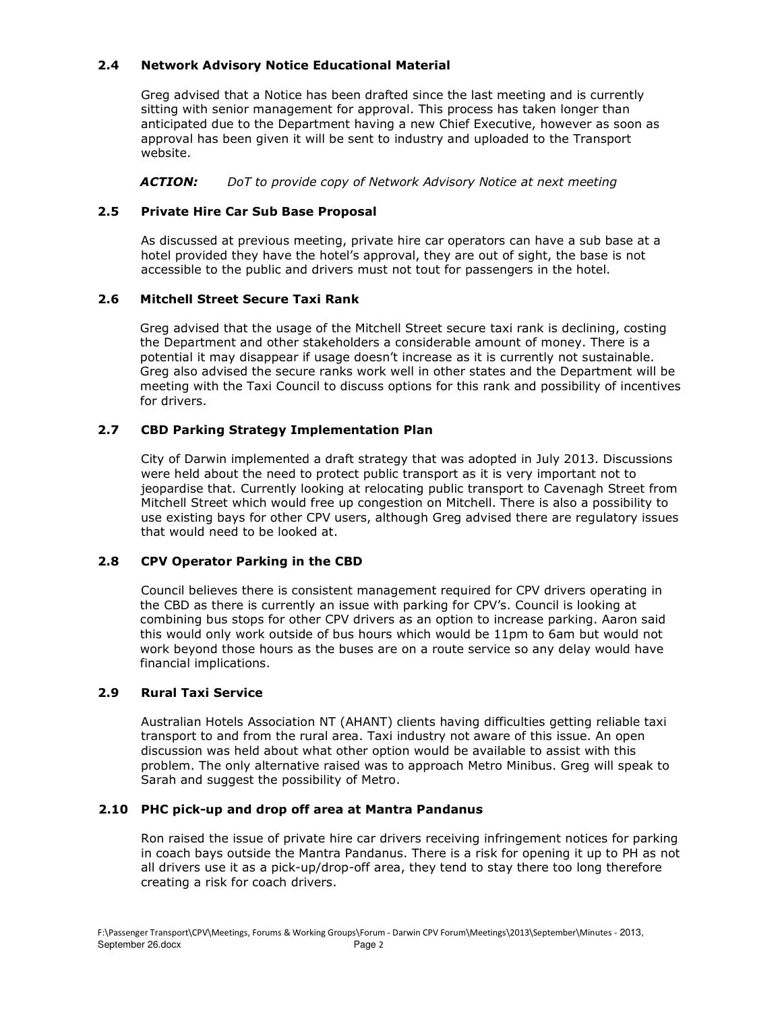# **2.4 Network Advisory Notice Educational Material**

Greg advised that a Notice has been drafted since the last meeting and is currently sitting with senior management for approval. This process has taken longer than anticipated due to the Department having a new Chief Executive, however as soon as approval has been given it will be sent to industry and uploaded to the Transport website.

*ACTION: DoT to provide copy of Network Advisory Notice at next meeting* 

# **2.5 Private Hire Car Sub Base Proposal**

As discussed at previous meeting, private hire car operators can have a sub base at a hotel provided they have the hotel's approval, they are out of sight, the base is not accessible to the public and drivers must not tout for passengers in the hotel.

# **2.6 Mitchell Street Secure Taxi Rank**

Greg advised that the usage of the Mitchell Street secure taxi rank is declining, costing the Department and other stakeholders a considerable amount of money. There is a potential it may disappear if usage doesn't increase as it is currently not sustainable. Greg also advised the secure ranks work well in other states and the Department will be meeting with the Taxi Council to discuss options for this rank and possibility of incentives for drivers.

# **2.7 CBD Parking Strategy Implementation Plan**

City of Darwin implemented a draft strategy that was adopted in July 2013. Discussions were held about the need to protect public transport as it is very important not to jeopardise that. Currently looking at relocating public transport to Cavenagh Street from Mitchell Street which would free up congestion on Mitchell. There is also a possibility to use existing bays for other CPV users, although Greg advised there are regulatory issues that would need to be looked at.

# **2.8 CPV Operator Parking in the CBD**

Council believes there is consistent management required for CPV drivers operating in the CBD as there is currently an issue with parking for CPV's. Council is looking at combining bus stops for other CPV drivers as an option to increase parking. Aaron said this would only work outside of bus hours which would be 11pm to 6am but would not work beyond those hours as the buses are on a route service so any delay would have financial implications.

#### **2.9 Rural Taxi Service**

Australian Hotels Association NT (AHANT) clients having difficulties getting reliable taxi transport to and from the rural area. Taxi industry not aware of this issue. An open discussion was held about what other option would be available to assist with this problem. The only alternative raised was to approach Metro Minibus. Greg will speak to Sarah and suggest the possibility of Metro.

#### **2.10 PHC pick-up and drop off area at Mantra Pandanus**

Ron raised the issue of private hire car drivers receiving infringement notices for parking in coach bays outside the Mantra Pandanus. There is a risk for opening it up to PH as not all drivers use it as a pick-up/drop-off area, they tend to stay there too long therefore creating a risk for coach drivers.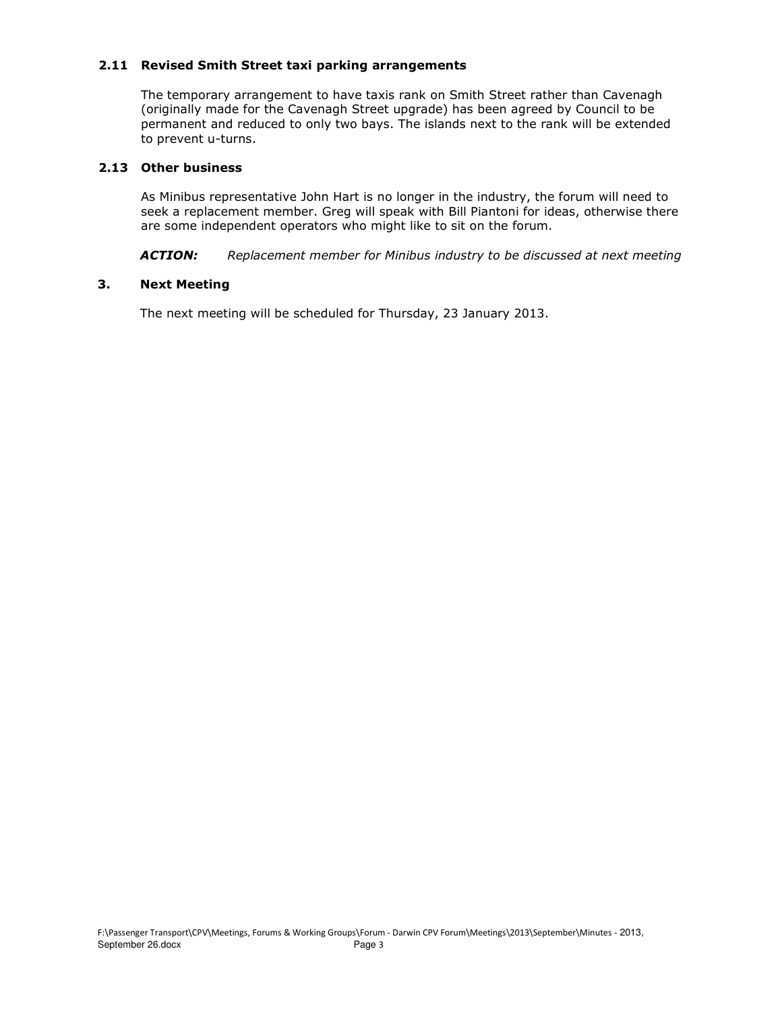# **2.11 Revised Smith Street taxi parking arrangements**

The temporary arrangement to have taxis rank on Smith Street rather than Cavenagh (originally made for the Cavenagh Street upgrade) has been agreed by Council to be permanent and reduced to only two bays. The islands next to the rank will be extended to prevent u-turns.

# **2.13 Other business**

 As Minibus representative John Hart is no longer in the industry, the forum will need to seek a replacement member. Greg will speak with Bill Piantoni for ideas, otherwise there are some independent operators who might like to sit on the forum.

*ACTION: Replacement member for Minibus industry to be discussed at next meeting* 

# **3. Next Meeting**

The next meeting will be scheduled for Thursday, 23 January 2013.